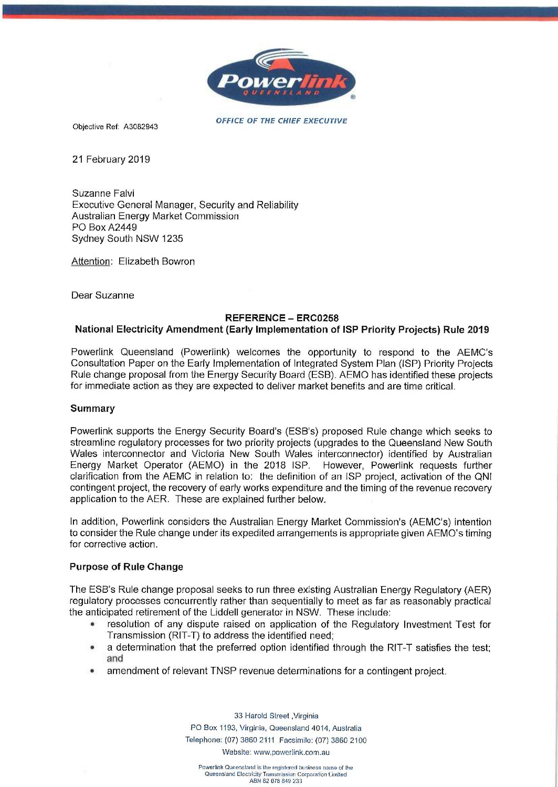

Objective Ref: A3082943 OFFICE OF THE CHIEF EXECUTIVE

21 February 2019

Suzanne Falvi Executive General Manager, Security and Reliability Australian Energy Market Commission PO Box A2449 Sydney South NSW 1235

Attention: Elizabeth Bowron

Dear Suzanne

### REFERENCE- ER00258

# National Electricity Amendment (Early Implementation of ISP Priority Projects) Rule 2019

Powerlink Queensland (Powerlink) welcomes the opportunity to respond to the AEMC's Consultation Paper on the Early Implementation of Integrated System Plan (ISP) Priority Projects Rule change proposal from the Energy Security Board (ESB). AEMO has identified these projects for immediate action as they are expected to deliver market benefits and are time critical.

# **Summary**

Powerlink supports the Energy Security Board's (ESB's) proposed Rule change which seeks to streamline regulatory processes for two priority projects (upgrades to the Queensland New South Wales interconnector and Victoria New South Wales interconnector) identified by Australian Energy Market Operator (AEMO) in the 2018 ISP. However, Powerlink requests further clarification from the AEMC in relation to: the definition of an ISP project, activation of the QNI contingent project, the recovery of early works expenditure and the timing of the revenue recovery application to the AER. These are explained further below.

In addition, Powerlink considers the Australian Energy Market Commission's (AEMC's) intention to consider the Rule change under its expedited arrangements is appropriate given AEMO's timing for corrective action.

# Purpose of Rule Change

The ESB's Rule change proposal seeks to run three existing Australian Energy Regulatory (AER) regulatory processes concurrently rather than sequentially to meet as far as reasonably practical the anticipated retirement of the Liddell generator in NSW. These include:

- resolution of any dispute raised on application of the Regulatory Investment Test for Transmission (RIT-T) to address the identified need;
- a determination that the preferred option identified through the RIT-T satisfies the test; and
- amendment of relevant TNSP revenue determinations for a contingent project.

33 Harold Street ,Virginia PO Box 1193, Virginia, Queensland 4014, Australia Telephone: (07) 3860 2111 Facsimile: (07) 3860 2100 Website: www.powerlink.com.au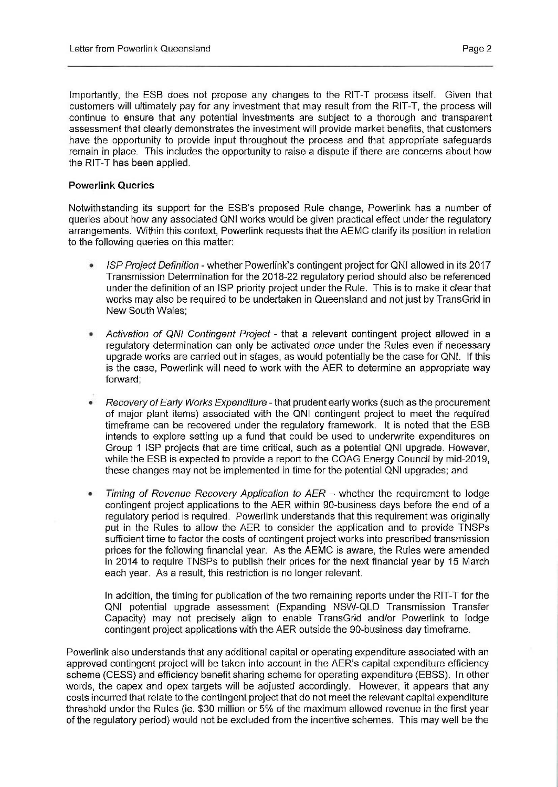Importantly, the ESB does not propose any changes to the RIT-T process itself. Given that customers will ultimately pay for any investment that may result from the RIT-T, the process will continue to ensure that any potential investments are subject to a thorough and transparent assessment that clearly demonstrates the investment will provide market benefits, that customers have the opportunity to provide input throughout the process and that appropriate safeguards remain in place. This includes the opportunity to raise a dispute if there are concerns about how the RIT-T has been applied.

### Powerlink Queries

Notwithstanding its support for the ESB's proposed Rule change, Powerlink has a number of queries about how any associated QNI works would be given practical effect under the regulatory arrangements. Within this context, Powerlink requests that the AEMC clarify its position in relation to the following queries on this matter:

- ISP Project Definition whether Powerlink's contingent project for QNI allowed in its 2017 Transmission Determination for the 2018-22 regulatory period should also be referenced under the definition of an ISP priority project under the Rule. This is to make it clear that works may also be required to be undertaken in Queensland and not just by TransGrid in New South Wales;
- Activation of QNI Contingent Project- that a relevant contingent project allowed in a regulatory determination can only be activated once under the Rules even if necessary upgrade works are carried out in stages, as would potentially be the case for QNI. If this is the case, Powerlink will need to work with the AER to determine an appropriate way forward;
- Recovery of Early Works Expenditure that prudent early works (such as the procurement of major plant items) associated with the QNI contingent project to meet the required timeframe can be recovered under the regulatory framework. It is noted that the ESB intends to explore setting up a fund that could be used to underwrite expenditures on Group 1 ISP projects that are time critical, such as a potential QNI upgrade. However, while the ESB is expected to provide a report to the COAG Energy Council by mid-2019, these changes may not be implemented in time for the potential QNI upgrades; and
- Timing of Revenue Recovery Application to  $AER$  whether the requirement to lodge contingent project applications to the AER within 90-business days before the end of a regulatory period is required. Powerlink understands that this requirement was originally put in the Rules to allow the AER to consider the application and to provide TNSPs sufficient time to factor the costs of contingent project works into prescribed transmission prices for the following financial year. As the AEMC is aware, the Rules were amended in 2014 to require TNSPs to publish their prices for the next financial year by 15 March each year. As a result, this restriction is no longer relevant.

In addition, the timing for publication of the two remaining reports under the RIT-T for the QNI potential upgrade assessment (Expanding NSW-QLD Transmission Transfer Capacity) may not precisely align to enable TransGrid and/or Powerlink to lodge contingent project applications with the AER outside the 90-business day timeframe.

Powerlink also understands that any additional capital or operating expenditure associated with an approved contingent project will be taken into account in the AER's capital expenditure efficiency scheme (CESS) and efficiency benefit sharing scheme for operating expenditure (EBSS). In other words, the capex and opex targets will be adjusted accordingly. However, it appears that any costs incurred that relate to the contingent project that do not meet the relevant capital expenditure threshold under the Rules (ie. \$30 million or 5% of the maximum allowed revenue in the first year of the regulatory period) would not be excluded from the incentive schemes. This may well be the